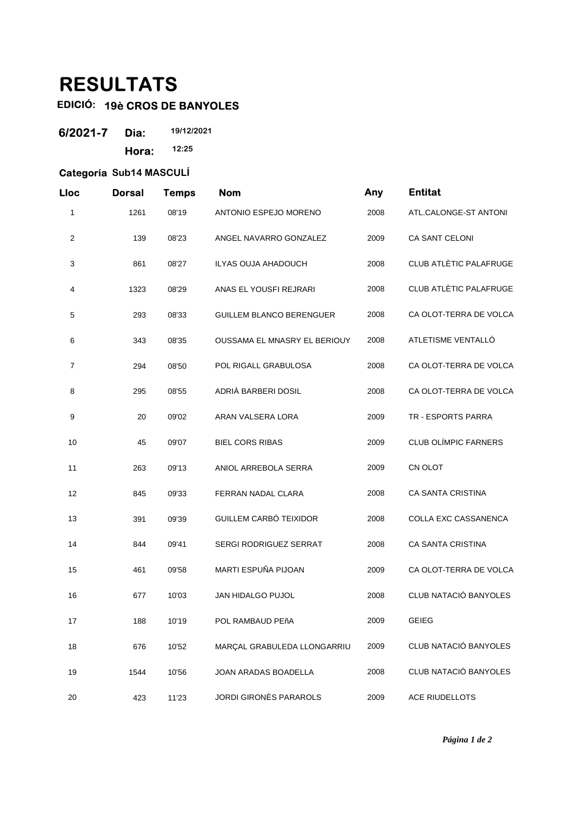## **RESULTATS**

## **EDICIÓ: 19è CROS DE BANYOLES**

| 6/2021-7 | Dia:  | 19/12/2021 |  |
|----------|-------|------------|--|
|          | Hora: | 12:25      |  |

## **Categoría Sub14 MASCULÍ**

| Lloc           | <b>Dorsal</b> | <b>Temps</b> | <b>Nom</b>                      | Any  | <b>Entitat</b>                |
|----------------|---------------|--------------|---------------------------------|------|-------------------------------|
| 1              | 1261          | 08'19        | ANTONIO ESPEJO MORENO           | 2008 | ATL.CALONGE-ST ANTONI         |
| $\overline{c}$ | 139           | 08'23        | ANGEL NAVARRO GONZALEZ          | 2009 | CA SANT CELONI                |
| 3              | 861           | 08'27        | ILYAS OUJA AHADOUCH             | 2008 | CLUB ATLÈTIC PALAFRUGE        |
| 4              | 1323          | 08'29        | ANAS EL YOUSFI REJRARI          | 2008 | <b>CLUB ATLÈTIC PALAFRUGE</b> |
| 5              | 293           | 08'33        | <b>GUILLEM BLANCO BERENGUER</b> | 2008 | CA OLOT-TERRA DE VOLCA        |
| 6              | 343           | 08'35        | OUSSAMA EL MNASRY EL BERIOUY    | 2008 | ATLETISME VENTALLÓ            |
| 7              | 294           | 08'50        | POL RIGALL GRABULOSA            | 2008 | CA OLOT-TERRA DE VOLCA        |
| 8              | 295           | 08'55        | ADRIÀ BARBERI DOSIL             | 2008 | CA OLOT-TERRA DE VOLCA        |
| 9              | 20            | 09'02        | ARAN VALSERA LORA               | 2009 | TR - ESPORTS PARRA            |
| 10             | 45            | 09'07        | <b>BIEL CORS RIBAS</b>          | 2009 | <b>CLUB OLÍMPIC FARNERS</b>   |
| 11             | 263           | 09'13        | ANIOL ARREBOLA SERRA            | 2009 | CN OLOT                       |
| 12             | 845           | 09'33        | FERRAN NADAL CLARA              | 2008 | <b>CA SANTA CRISTINA</b>      |
| 13             | 391           | 09'39        | GUILLEM CARBÓ TEIXIDOR          | 2008 | COLLA EXC CASSANENCA          |
| 14             | 844           | 09'41        | <b>SERGI RODRIGUEZ SERRAT</b>   | 2008 | <b>CA SANTA CRISTINA</b>      |
| 15             | 461           | 09'58        | MARTI ESPUÑA PIJOAN             | 2009 | CA OLOT-TERRA DE VOLCA        |
| 16             | 677           | 10'03        | <b>JAN HIDALGO PUJOL</b>        | 2008 | CLUB NATACIÓ BANYOLES         |
| 17             | 188           | 10'19        | POL RAMBAUD PEñA                | 2009 | <b>GEIEG</b>                  |
| 18             | 676           | 10'52        | MARÇAL GRABULEDA LLONGARRIU     | 2009 | CLUB NATACIÓ BANYOLES         |
| 19             | 1544          | 10'56        | JOAN ARADAS BOADELLA            | 2008 | CLUB NATACIÓ BANYOLES         |
| 20             | 423           | 11'23        | JORDI GIRONÈS PARAROLS          | 2009 | ACE RIUDELLOTS                |

*Página 1 de 2*